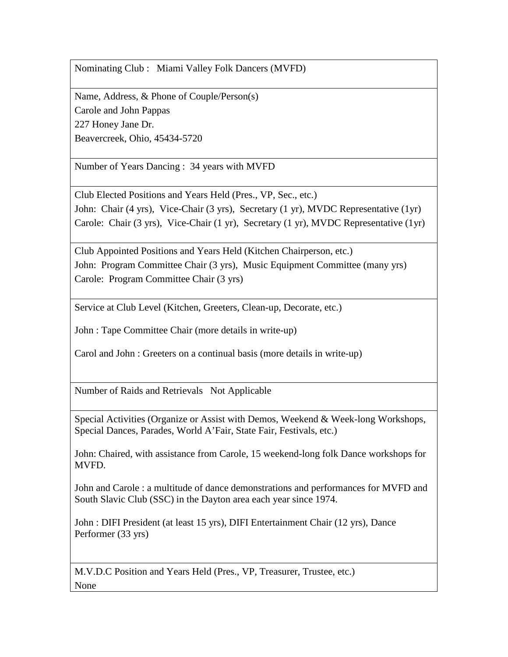Name, Address, & Phone of Couple/Person(s) Carole and John Pappas 227 Honey Jane Dr. Beavercreek, Ohio, 45434-5720

Number of Years Dancing : 34 years with MVFD

Club Elected Positions and Years Held (Pres., VP, Sec., etc.) John: Chair (4 yrs), Vice-Chair (3 yrs), Secretary (1 yr), MVDC Representative (1yr) Carole: Chair (3 yrs), Vice-Chair (1 yr), Secretary (1 yr), MVDC Representative (1yr)

Club Appointed Positions and Years Held (Kitchen Chairperson, etc.) John: Program Committee Chair (3 yrs), Music Equipment Committee (many yrs) Carole: Program Committee Chair (3 yrs)

Service at Club Level (Kitchen, Greeters, Clean-up, Decorate, etc.)

John : Tape Committee Chair (more details in write-up)

Carol and John : Greeters on a continual basis (more details in write-up)

Number of Raids and Retrievals Not Applicable

Special Activities (Organize or Assist with Demos, Weekend & Week-long Workshops, Special Dances, Parades, World A'Fair, State Fair, Festivals, etc.)

John: Chaired, with assistance from Carole, 15 weekend-long folk Dance workshops for MVFD.

John and Carole : a multitude of dance demonstrations and performances for MVFD and South Slavic Club (SSC) in the Dayton area each year since 1974.

John : DIFI President (at least 15 yrs), DIFI Entertainment Chair (12 yrs), Dance Performer (33 yrs)

M.V.D.C Position and Years Held (Pres., VP, Treasurer, Trustee, etc.) None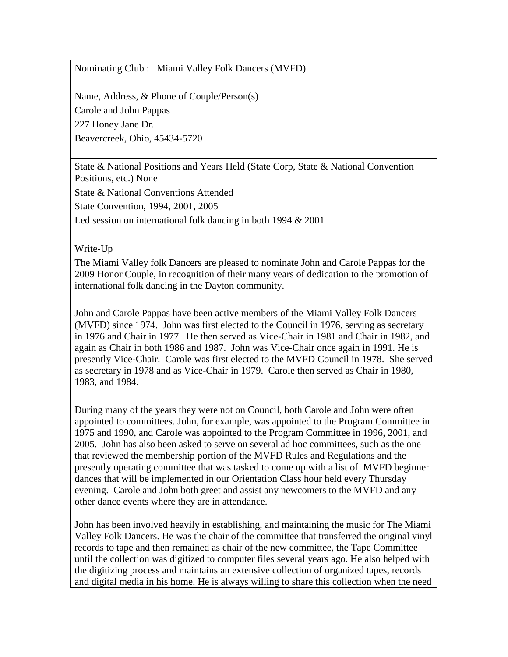Name, Address, & Phone of Couple/Person(s)

Carole and John Pappas

227 Honey Jane Dr.

Beavercreek, Ohio, 45434-5720

State & National Positions and Years Held (State Corp, State & National Convention Positions, etc.) None

State & National Conventions Attended

State Convention, 1994, 2001, 2005

Led session on international folk dancing in both 1994 & 2001

Write-Up

The Miami Valley folk Dancers are pleased to nominate John and Carole Pappas for the 2009 Honor Couple, in recognition of their many years of dedication to the promotion of international folk dancing in the Dayton community.

John and Carole Pappas have been active members of the Miami Valley Folk Dancers (MVFD) since 1974. John was first elected to the Council in 1976, serving as secretary in 1976 and Chair in 1977. He then served as Vice-Chair in 1981 and Chair in 1982, and again as Chair in both 1986 and 1987. John was Vice-Chair once again in 1991. He is presently Vice-Chair. Carole was first elected to the MVFD Council in 1978. She served as secretary in 1978 and as Vice-Chair in 1979. Carole then served as Chair in 1980, 1983, and 1984.

During many of the years they were not on Council, both Carole and John were often appointed to committees. John, for example, was appointed to the Program Committee in 1975 and 1990, and Carole was appointed to the Program Committee in 1996, 2001, and 2005. John has also been asked to serve on several ad hoc committees, such as the one that reviewed the membership portion of the MVFD Rules and Regulations and the presently operating committee that was tasked to come up with a list of MVFD beginner dances that will be implemented in our Orientation Class hour held every Thursday evening. Carole and John both greet and assist any newcomers to the MVFD and any other dance events where they are in attendance.

John has been involved heavily in establishing, and maintaining the music for The Miami Valley Folk Dancers. He was the chair of the committee that transferred the original vinyl records to tape and then remained as chair of the new committee, the Tape Committee until the collection was digitized to computer files several years ago. He also helped with the digitizing process and maintains an extensive collection of organized tapes, records and digital media in his home. He is always willing to share this collection when the need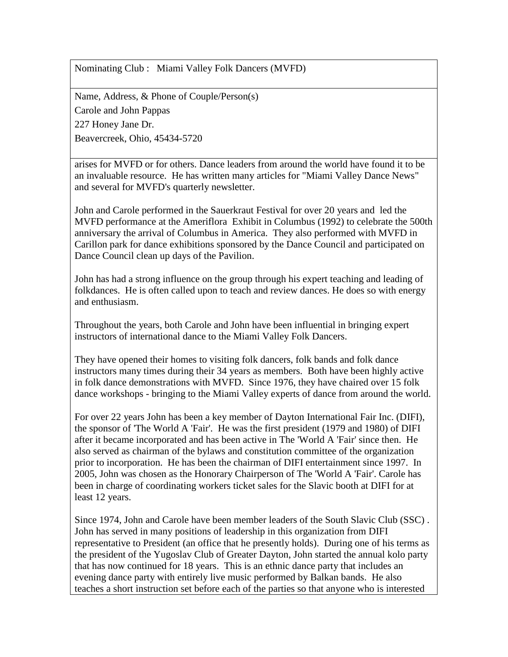Name, Address, & Phone of Couple/Person(s) Carole and John Pappas 227 Honey Jane Dr. Beavercreek, Ohio, 45434-5720

arises for MVFD or for others. Dance leaders from around the world have found it to be an invaluable resource. He has written many articles for "Miami Valley Dance News" and several for MVFD's quarterly newsletter.

John and Carole performed in the Sauerkraut Festival for over 20 years and led the MVFD performance at the Ameriflora Exhibit in Columbus (1992) to celebrate the 500th anniversary the arrival of Columbus in America. They also performed with MVFD in Carillon park for dance exhibitions sponsored by the Dance Council and participated on Dance Council clean up days of the Pavilion.

John has had a strong influence on the group through his expert teaching and leading of folkdances. He is often called upon to teach and review dances. He does so with energy and enthusiasm.

Throughout the years, both Carole and John have been influential in bringing expert instructors of international dance to the Miami Valley Folk Dancers.

They have opened their homes to visiting folk dancers, folk bands and folk dance instructors many times during their 34 years as members. Both have been highly active in folk dance demonstrations with MVFD. Since 1976, they have chaired over 15 folk dance workshops - bringing to the Miami Valley experts of dance from around the world.

For over 22 years John has been a key member of Dayton International Fair Inc. (DIFI), the sponsor of 'The World A 'Fair'. He was the first president (1979 and 1980) of DIFI after it became incorporated and has been active in The 'World A 'Fair' since then. He also served as chairman of the bylaws and constitution committee of the organization prior to incorporation. He has been the chairman of DIFI entertainment since 1997. In 2005, John was chosen as the Honorary Chairperson of The 'World A 'Fair'. Carole has been in charge of coordinating workers ticket sales for the Slavic booth at DIFI for at least 12 years.

Since 1974, John and Carole have been member leaders of the South Slavic Club (SSC) . John has served in many positions of leadership in this organization from DIFI representative to President (an office that he presently holds). During one of his terms as the president of the Yugoslav Club of Greater Dayton, John started the annual kolo party that has now continued for 18 years. This is an ethnic dance party that includes an evening dance party with entirely live music performed by Balkan bands. He also teaches a short instruction set before each of the parties so that anyone who is interested